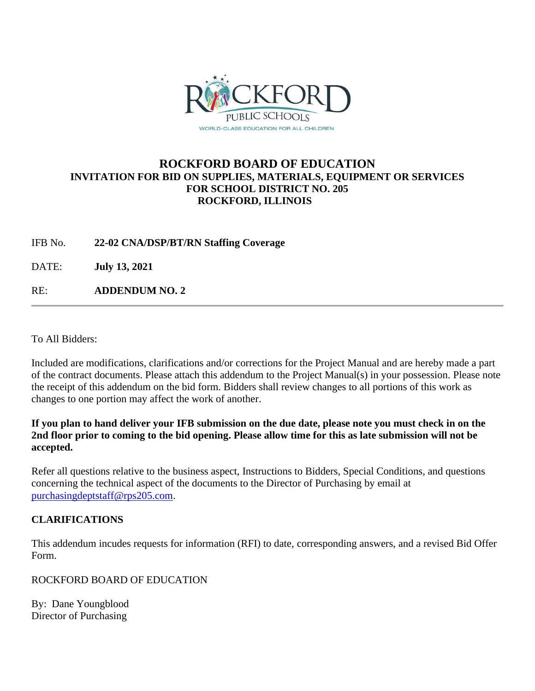

# **ROCKFORD BOARD OF EDUCATION INVITATION FOR BID ON SUPPLIES, MATERIALS, EQUIPMENT OR SERVICES FOR SCHOOL DISTRICT NO. 205 ROCKFORD, ILLINOIS**

IFB No. **22-02 CNA/DSP/BT/RN Staffing Coverage**

DATE: **July 13, 2021**

RE: **ADDENDUM NO. 2**

To All Bidders:

Included are modifications, clarifications and/or corrections for the Project Manual and are hereby made a part of the contract documents. Please attach this addendum to the Project Manual(s) in your possession. Please note the receipt of this addendum on the bid form. Bidders shall review changes to all portions of this work as changes to one portion may affect the work of another.

**If you plan to hand deliver your IFB submission on the due date, please note you must check in on the 2nd floor prior to coming to the bid opening. Please allow time for this as late submission will not be accepted.**

Refer all questions relative to the business aspect, Instructions to Bidders, Special Conditions, and questions concerning the technical aspect of the documents to the Director of Purchasing by email at [purchasingdeptstaff@rps205.com.](mailto:purchasingdeptstaff@rps205.com)

# **CLARIFICATIONS**

This addendum incudes requests for information (RFI) to date, corresponding answers, and a revised Bid Offer Form.

ROCKFORD BOARD OF EDUCATION

By: Dane Youngblood Director of Purchasing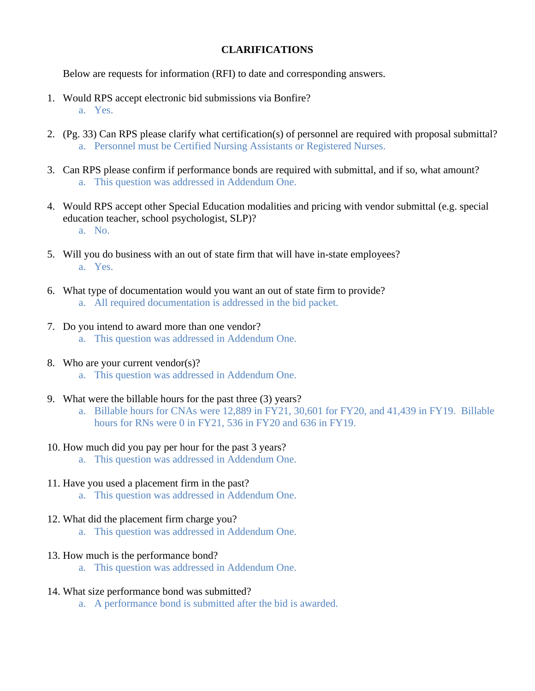### **CLARIFICATIONS**

Below are requests for information (RFI) to date and corresponding answers.

- 1. Would RPS accept electronic bid submissions via Bonfire? a. Yes.
- 2. (Pg. 33) Can RPS please clarify what certification(s) of personnel are required with proposal submittal? a. Personnel must be Certified Nursing Assistants or Registered Nurses.
- 3. Can RPS please confirm if performance bonds are required with submittal, and if so, what amount? a. This question was addressed in Addendum One.
- 4. Would RPS accept other Special Education modalities and pricing with vendor submittal (e.g. special education teacher, school psychologist, SLP)? a. No.
- 5. Will you do business with an out of state firm that will have in-state employees? a. Yes.
- 6. What type of documentation would you want an out of state firm to provide? a. All required documentation is addressed in the bid packet.
- 7. Do you intend to award more than one vendor? a. This question was addressed in Addendum One.
- 8. Who are your current vendor(s)?
	- a. This question was addressed in Addendum One.
- 9. What were the billable hours for the past three (3) years?
	- a. Billable hours for CNAs were 12,889 in FY21, 30,601 for FY20, and 41,439 in FY19. Billable hours for RNs were 0 in FY21, 536 in FY20 and 636 in FY19.
- 10. How much did you pay per hour for the past 3 years?
	- a. This question was addressed in Addendum One.
- 11. Have you used a placement firm in the past?
	- a. This question was addressed in Addendum One.
- 12. What did the placement firm charge you?
	- a. This question was addressed in Addendum One.
- 13. How much is the performance bond?
	- a. This question was addressed in Addendum One.
- 14. What size performance bond was submitted?
	- a. A performance bond is submitted after the bid is awarded.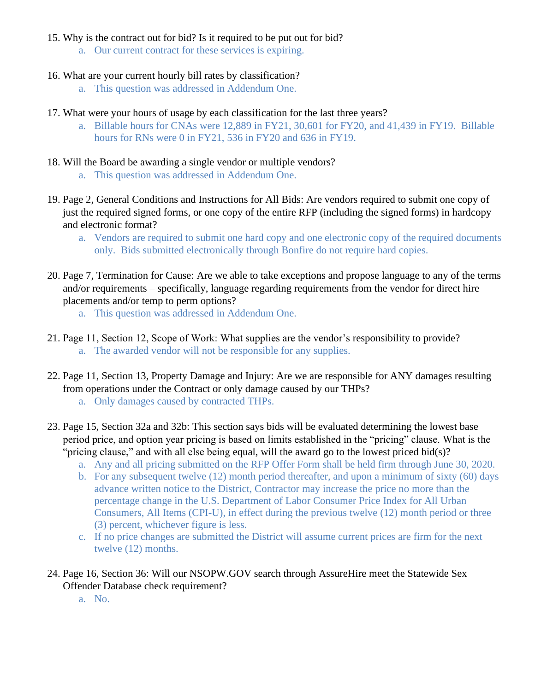### 15. Why is the contract out for bid? Is it required to be put out for bid?

- a. Our current contract for these services is expiring.
- 16. What are your current hourly bill rates by classification?
	- a. This question was addressed in Addendum One.
- 17. What were your hours of usage by each classification for the last three years?
	- a. Billable hours for CNAs were 12,889 in FY21, 30,601 for FY20, and 41,439 in FY19. Billable hours for RNs were 0 in FY21, 536 in FY20 and 636 in FY19.
- 18. Will the Board be awarding a single vendor or multiple vendors?
	- a. This question was addressed in Addendum One.
- 19. Page 2, General Conditions and Instructions for All Bids: Are vendors required to submit one copy of just the required signed forms, or one copy of the entire RFP (including the signed forms) in hardcopy and electronic format?
	- a. Vendors are required to submit one hard copy and one electronic copy of the required documents only. Bids submitted electronically through Bonfire do not require hard copies.
- 20. Page 7, Termination for Cause: Are we able to take exceptions and propose language to any of the terms and/or requirements – specifically, language regarding requirements from the vendor for direct hire placements and/or temp to perm options?
	- a. This question was addressed in Addendum One.
- 21. Page 11, Section 12, Scope of Work: What supplies are the vendor's responsibility to provide? a. The awarded vendor will not be responsible for any supplies.
- 22. Page 11, Section 13, Property Damage and Injury: Are we are responsible for ANY damages resulting from operations under the Contract or only damage caused by our THPs?
	- a. Only damages caused by contracted THPs.
- 23. Page 15, Section 32a and 32b: This section says bids will be evaluated determining the lowest base period price, and option year pricing is based on limits established in the "pricing" clause. What is the "pricing clause," and with all else being equal, will the award go to the lowest priced bid(s)?
	- a. Any and all pricing submitted on the RFP Offer Form shall be held firm through June 30, 2020.
	- b. For any subsequent twelve (12) month period thereafter, and upon a minimum of sixty (60) days advance written notice to the District, Contractor may increase the price no more than the percentage change in the U.S. Department of Labor Consumer Price Index for All Urban Consumers, All Items (CPI-U), in effect during the previous twelve (12) month period or three (3) percent, whichever figure is less.
	- c. If no price changes are submitted the District will assume current prices are firm for the next twelve (12) months.
- 24. Page 16, Section 36: Will our NSOPW.GOV search through AssureHire meet the Statewide Sex Offender Database check requirement?
	- a. No.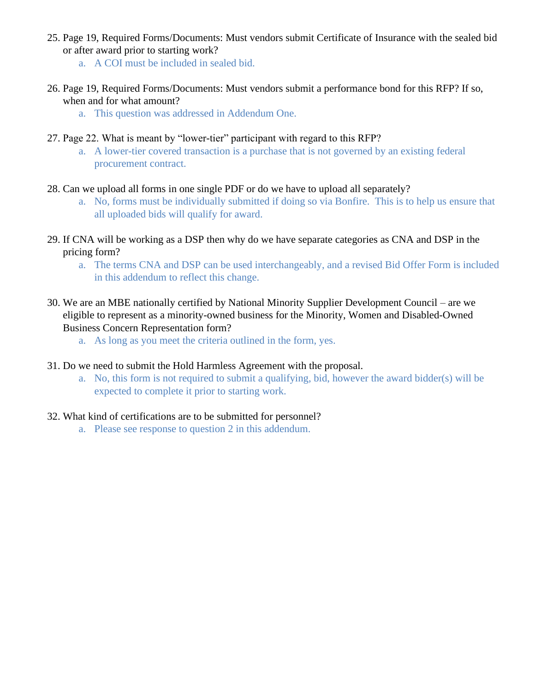- 25. Page 19, Required Forms/Documents: Must vendors submit Certificate of Insurance with the sealed bid or after award prior to starting work?
	- a. A COI must be included in sealed bid.
- 26. Page 19, Required Forms/Documents: Must vendors submit a performance bond for this RFP? If so, when and for what amount?
	- a. This question was addressed in Addendum One.
- 27. Page 22. What is meant by "lower-tier" participant with regard to this RFP?
	- a. A lower-tier covered transaction is a purchase that is not governed by an existing federal procurement contract.
- 28. Can we upload all forms in one single PDF or do we have to upload all separately?
	- a. No, forms must be individually submitted if doing so via Bonfire. This is to help us ensure that all uploaded bids will qualify for award.
- 29. If CNA will be working as a DSP then why do we have separate categories as CNA and DSP in the pricing form?
	- a. The terms CNA and DSP can be used interchangeably, and a revised Bid Offer Form is included in this addendum to reflect this change.
- 30. We are an MBE nationally certified by National Minority Supplier Development Council are we eligible to represent as a minority-owned business for the Minority, Women and Disabled-Owned Business Concern Representation form?
	- a. As long as you meet the criteria outlined in the form, yes.
- 31. Do we need to submit the Hold Harmless Agreement with the proposal.
	- a. No, this form is not required to submit a qualifying, bid, however the award bidder(s) will be expected to complete it prior to starting work.
- 32. What kind of certifications are to be submitted for personnel?
	- a. Please see response to question 2 in this addendum.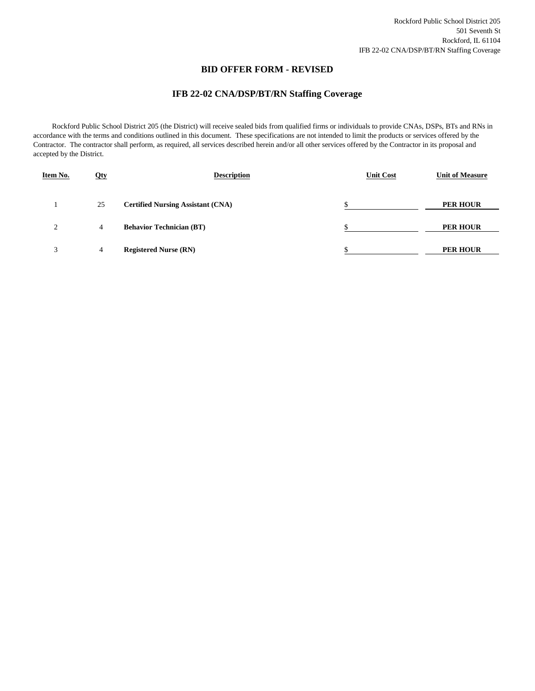#### **BID OFFER FORM - REVISED**

### **IFB 22-02 CNA/DSP/BT/RN Staffing Coverage**

 Rockford Public School District 205 (the District) will receive sealed bids from qualified firms or individuals to provide CNAs, DSPs, BTs and RNs in accordance with the terms and conditions outlined in this document. These specifications are not intended to limit the products or services offered by the Contractor. The contractor shall perform, as required, all services described herein and/or all other services offered by the Contractor in its proposal and accepted by the District.

| Item No.       | <u>Oty</u> | <b>Description</b>                       | <b>Unit Cost</b> | <b>Unit of Measure</b> |
|----------------|------------|------------------------------------------|------------------|------------------------|
|                | 25         | <b>Certified Nursing Assistant (CNA)</b> | \$               | <b>PER HOUR</b>        |
| $\overline{2}$ | 4          | <b>Behavior Technician (BT)</b>          |                  | <b>PER HOUR</b>        |
| 3              | 4          | <b>Registered Nurse (RN)</b>             | ¢<br>٠D          | <b>PER HOUR</b>        |